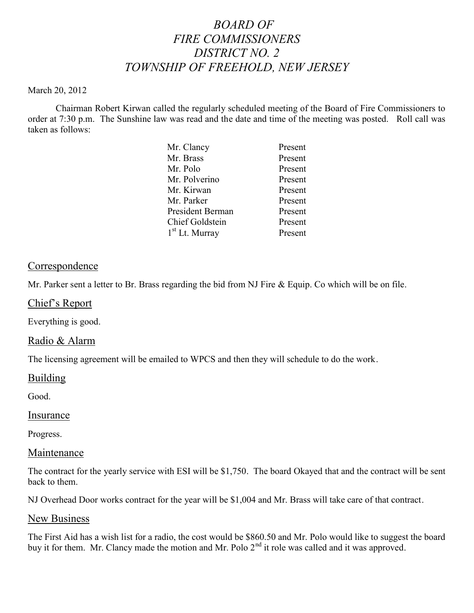# *BOARD OF FIRE COMMISSIONERS DISTRICT NO. 2 TOWNSHIP OF FREEHOLD, NEW JERSEY*

#### March 20, 2012

Chairman Robert Kirwan called the regularly scheduled meeting of the Board of Fire Commissioners to order at 7:30 p.m. The Sunshine law was read and the date and time of the meeting was posted. Roll call was taken as follows:

| Mr. Clancy                 | Present |
|----------------------------|---------|
| Mr. Brass                  | Present |
| Mr. Polo                   | Present |
| Mr. Polverino              | Present |
| Mr. Kirwan                 | Present |
| Mr. Parker                 | Present |
| President Berman           | Present |
| <b>Chief Goldstein</b>     | Present |
| 1 <sup>st</sup> Lt. Murray | Present |
|                            |         |

## Correspondence

Mr. Parker sent a letter to Br. Brass regarding the bid from NJ Fire & Equip. Co which will be on file.

Chief's Report

Everything is good.

### Radio & Alarm

The licensing agreement will be emailed to WPCS and then they will schedule to do the work.

### Building

Good.

### **Insurance**

Progress.

### Maintenance

The contract for the yearly service with ESI will be \$1,750. The board Okayed that and the contract will be sent back to them.

NJ Overhead Door works contract for the year will be \$1,004 and Mr. Brass will take care of that contract.

### New Business

The First Aid has a wish list for a radio, the cost would be \$860.50 and Mr. Polo would like to suggest the board buy it for them. Mr. Clancy made the motion and Mr. Polo 2<sup>nd</sup> it role was called and it was approved.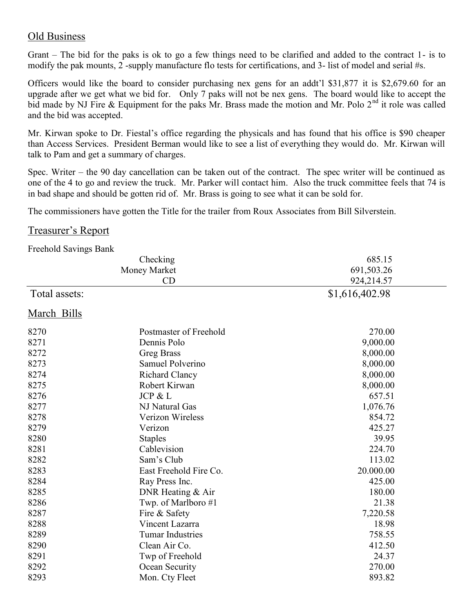## Old Business

Grant – The bid for the paks is ok to go a few things need to be clarified and added to the contract 1- is to modify the pak mounts, 2 -supply manufacture flo tests for certifications, and 3- list of model and serial #s.

Officers would like the board to consider purchasing nex gens for an addt'l \$31,877 it is \$2,679.60 for an upgrade after we get what we bid for. Only 7 paks will not be nex gens. The board would like to accept the bid made by NJ Fire & Equipment for the paks Mr. Brass made the motion and Mr. Polo 2<sup>nd</sup> it role was called and the bid was accepted.

Mr. Kirwan spoke to Dr. Fiestal's office regarding the physicals and has found that his office is \$90 cheaper than Access Services. President Berman would like to see a list of everything they would do. Mr. Kirwan will talk to Pam and get a summary of charges.

Spec. Writer – the 90 day cancellation can be taken out of the contract. The spec writer will be continued as one of the 4 to go and review the truck. Mr. Parker will contact him. Also the truck committee feels that 74 is in bad shape and should be gotten rid of. Mr. Brass is going to see what it can be sold for.

The commissioners have gotten the Title for the trailer from Roux Associates from Bill Silverstein.

### Treasurer's Report

Freehold Savings Bank

|               | Checking                | 685.15     |  |
|---------------|-------------------------|------------|--|
| Money Market  |                         | 691,503.26 |  |
|               | CD                      | 924,214.57 |  |
| Total assets: | \$1,616,402.98          |            |  |
| March Bills   |                         |            |  |
| 8270          | Postmaster of Freehold  | 270.00     |  |
| 8271          | Dennis Polo             | 9,000.00   |  |
| 8272          | <b>Greg Brass</b>       | 8,000.00   |  |
| 8273          | Samuel Polverino        | 8,000.00   |  |
| 8274          | <b>Richard Clancy</b>   | 8,000.00   |  |
| 8275          | Robert Kirwan           | 8,000.00   |  |
| 8276          | JCP & L                 | 657.51     |  |
| 8277          | NJ Natural Gas          | 1,076.76   |  |
| 8278          | <b>Verizon Wireless</b> | 854.72     |  |
| 8279          | Verizon                 | 425.27     |  |
| 8280          | <b>Staples</b>          | 39.95      |  |
| 8281          | Cablevision             | 224.70     |  |
| 8282          | Sam's Club              | 113.02     |  |
| 8283          | East Freehold Fire Co.  | 20.000.00  |  |
| 8284          | Ray Press Inc.          | 425.00     |  |
| 8285          | DNR Heating & Air       | 180.00     |  |
| 8286          | Twp. of Marlboro #1     | 21.38      |  |
| 8287          | Fire & Safety           | 7,220.58   |  |
| 8288          | Vincent Lazarra         | 18.98      |  |
| 8289          | <b>Tumar Industries</b> | 758.55     |  |
| 8290          | Clean Air Co.           | 412.50     |  |
| 8291          | Twp of Freehold         | 24.37      |  |
| 8292          | Ocean Security          | 270.00     |  |
| 8293          | Mon. Cty Fleet          | 893.82     |  |